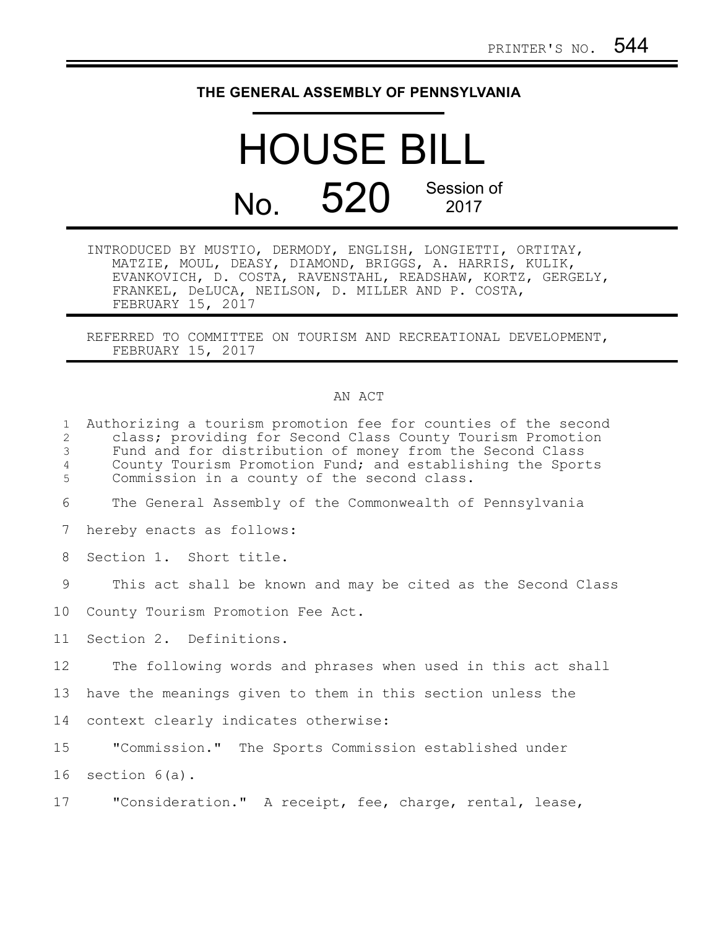## **THE GENERAL ASSEMBLY OF PENNSYLVANIA**

## HOUSE BILL No. 520 Session of 2017

INTRODUCED BY MUSTIO, DERMODY, ENGLISH, LONGIETTI, ORTITAY, MATZIE, MOUL, DEASY, DIAMOND, BRIGGS, A. HARRIS, KULIK, EVANKOVICH, D. COSTA, RAVENSTAHL, READSHAW, KORTZ, GERGELY, FRANKEL, DeLUCA, NEILSON, D. MILLER AND P. COSTA, FEBRUARY 15, 2017

REFERRED TO COMMITTEE ON TOURISM AND RECREATIONAL DEVELOPMENT, FEBRUARY 15, 2017

## AN ACT

| $\mathbf{1}$<br>$\mathbf{2}$<br>3<br>4<br>5 | Authorizing a tourism promotion fee for counties of the second<br>class; providing for Second Class County Tourism Promotion<br>Fund and for distribution of money from the Second Class<br>County Tourism Promotion Fund; and establishing the Sports<br>Commission in a county of the second class. |
|---------------------------------------------|-------------------------------------------------------------------------------------------------------------------------------------------------------------------------------------------------------------------------------------------------------------------------------------------------------|
| 6                                           | The General Assembly of the Commonwealth of Pennsylvania                                                                                                                                                                                                                                              |
| 7                                           | hereby enacts as follows:                                                                                                                                                                                                                                                                             |
| 8                                           | Section 1. Short title.                                                                                                                                                                                                                                                                               |
| 9                                           | This act shall be known and may be cited as the Second Class                                                                                                                                                                                                                                          |
| 10                                          | County Tourism Promotion Fee Act.                                                                                                                                                                                                                                                                     |
| 11                                          | Section 2. Definitions.                                                                                                                                                                                                                                                                               |
| 12                                          | The following words and phrases when used in this act shall                                                                                                                                                                                                                                           |
| 13                                          | have the meanings given to them in this section unless the                                                                                                                                                                                                                                            |
| 14                                          | context clearly indicates otherwise:                                                                                                                                                                                                                                                                  |
| 15                                          | "Commission." The Sports Commission established under                                                                                                                                                                                                                                                 |
| 16                                          | section $6(a)$ .                                                                                                                                                                                                                                                                                      |
| 17                                          | "Consideration." A receipt, fee, charge, rental, lease,                                                                                                                                                                                                                                               |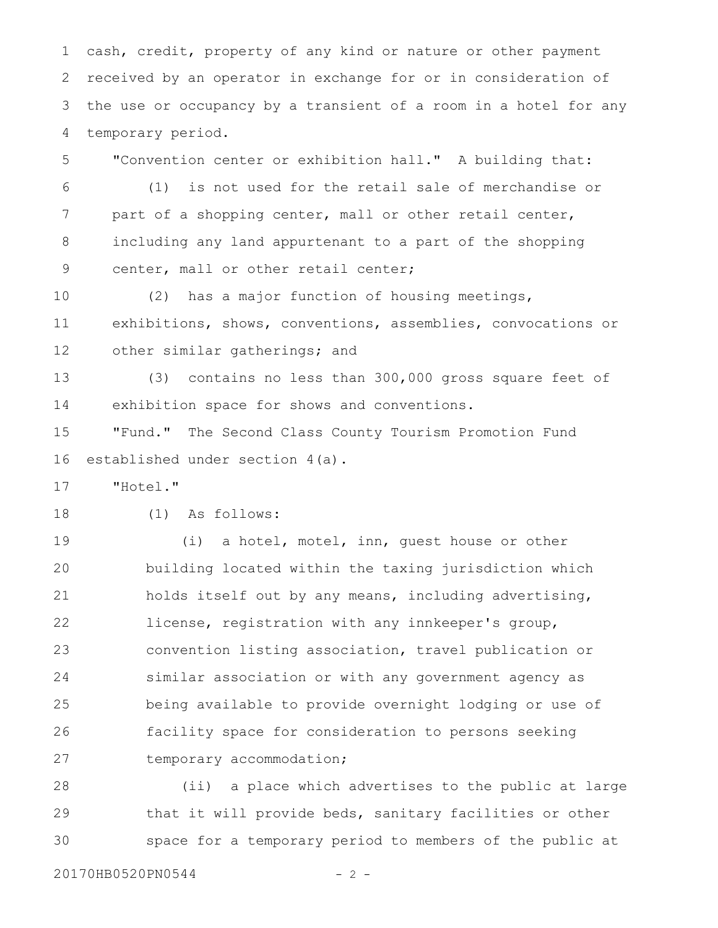cash, credit, property of any kind or nature or other payment received by an operator in exchange for or in consideration of the use or occupancy by a transient of a room in a hotel for any temporary period. 1 2 3 4

"Convention center or exhibition hall." A building that: 5

(1) is not used for the retail sale of merchandise or part of a shopping center, mall or other retail center, including any land appurtenant to a part of the shopping center, mall or other retail center; 6 7 8 9

(2) has a major function of housing meetings, exhibitions, shows, conventions, assemblies, convocations or other similar gatherings; and 10 11 12

(3) contains no less than 300,000 gross square feet of exhibition space for shows and conventions. 13 14

"Fund." The Second Class County Tourism Promotion Fund established under section 4(a). 15 16

"Hotel." 17

(1) As follows: 18

(i) a hotel, motel, inn, guest house or other building located within the taxing jurisdiction which holds itself out by any means, including advertising, license, registration with any innkeeper's group, convention listing association, travel publication or similar association or with any government agency as being available to provide overnight lodging or use of facility space for consideration to persons seeking temporary accommodation; 19 20 21 22 23 24 25 26 27

(ii) a place which advertises to the public at large that it will provide beds, sanitary facilities or other space for a temporary period to members of the public at 28 29 30

20170HB0520PN0544 - 2 -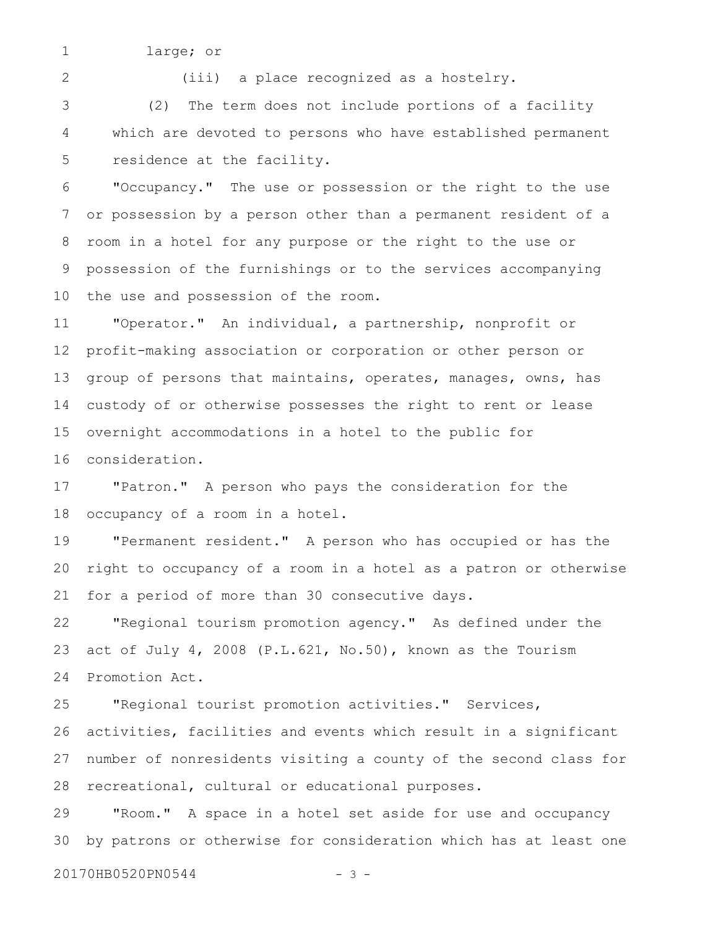large; or

2

1

(iii) a place recognized as a hostelry.

(2) The term does not include portions of a facility which are devoted to persons who have established permanent residence at the facility. 3 4 5

"Occupancy." The use or possession or the right to the use or possession by a person other than a permanent resident of a room in a hotel for any purpose or the right to the use or possession of the furnishings or to the services accompanying the use and possession of the room. 6 7 8 9 10

"Operator." An individual, a partnership, nonprofit or profit-making association or corporation or other person or group of persons that maintains, operates, manages, owns, has custody of or otherwise possesses the right to rent or lease overnight accommodations in a hotel to the public for consideration. 11 12 13 14 15 16

"Patron." A person who pays the consideration for the occupancy of a room in a hotel. 17 18

"Permanent resident." A person who has occupied or has the right to occupancy of a room in a hotel as a patron or otherwise for a period of more than 30 consecutive days. 19 20 21

"Regional tourism promotion agency." As defined under the act of July 4, 2008 (P.L.621, No.50), known as the Tourism Promotion Act. 22 23 24

"Regional tourist promotion activities." Services, activities, facilities and events which result in a significant number of nonresidents visiting a county of the second class for recreational, cultural or educational purposes. 25 26 27 28

"Room." A space in a hotel set aside for use and occupancy by patrons or otherwise for consideration which has at least one 29 30

20170HB0520PN0544 - 3 -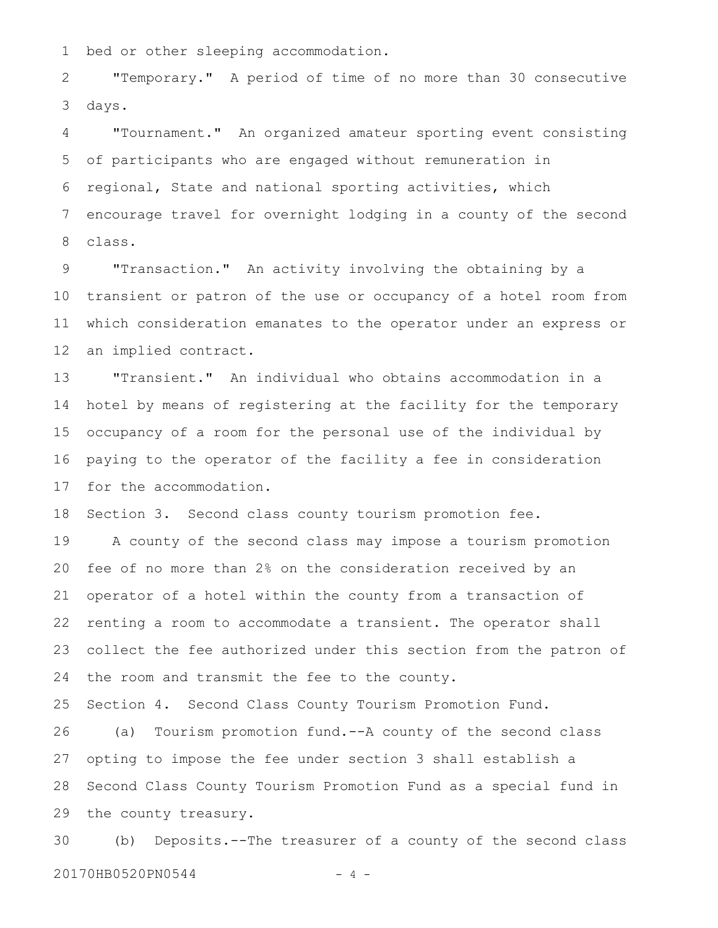bed or other sleeping accommodation. 1

"Temporary." A period of time of no more than 30 consecutive days. 2 3

"Tournament." An organized amateur sporting event consisting of participants who are engaged without remuneration in regional, State and national sporting activities, which encourage travel for overnight lodging in a county of the second class. 4 5 6 7 8

"Transaction." An activity involving the obtaining by a transient or patron of the use or occupancy of a hotel room from which consideration emanates to the operator under an express or an implied contract. 9 10 11 12

"Transient." An individual who obtains accommodation in a hotel by means of registering at the facility for the temporary occupancy of a room for the personal use of the individual by paying to the operator of the facility a fee in consideration for the accommodation. 13 14 15 16 17

Section 3. Second class county tourism promotion fee. 18

A county of the second class may impose a tourism promotion fee of no more than 2% on the consideration received by an operator of a hotel within the county from a transaction of renting a room to accommodate a transient. The operator shall collect the fee authorized under this section from the patron of the room and transmit the fee to the county. 19 20 21 22 23 24

Section 4. Second Class County Tourism Promotion Fund. (a) Tourism promotion fund.--A county of the second class opting to impose the fee under section 3 shall establish a Second Class County Tourism Promotion Fund as a special fund in the county treasury. 25 26 27 28 29

(b) Deposits.--The treasurer of a county of the second class 20170HB0520PN0544 - 4 -30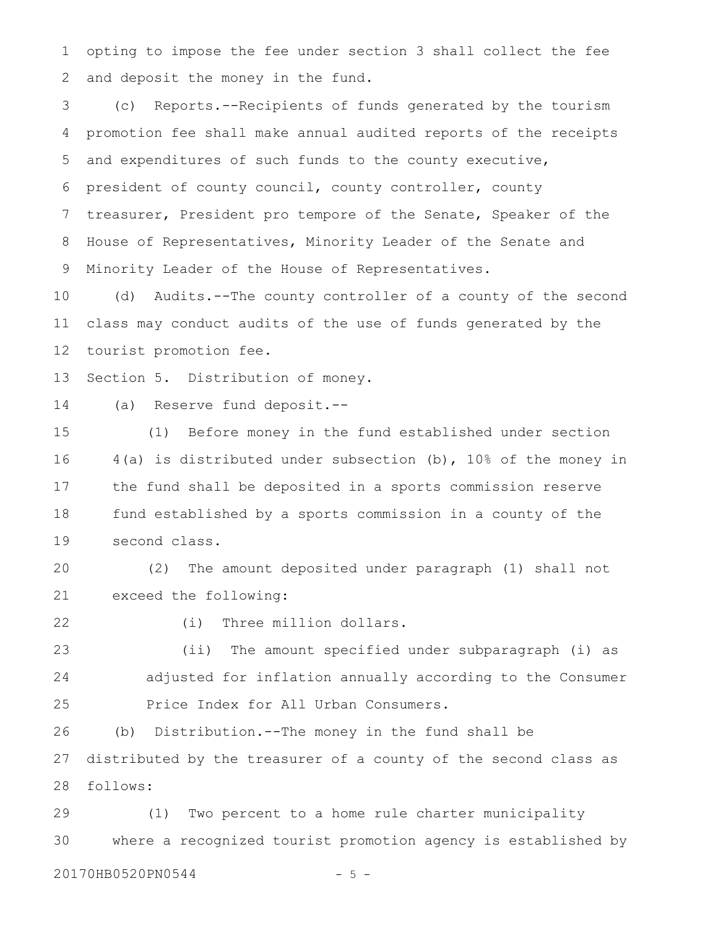opting to impose the fee under section 3 shall collect the fee and deposit the money in the fund. 1 2

(c) Reports.--Recipients of funds generated by the tourism promotion fee shall make annual audited reports of the receipts and expenditures of such funds to the county executive, president of county council, county controller, county treasurer, President pro tempore of the Senate, Speaker of the House of Representatives, Minority Leader of the Senate and Minority Leader of the House of Representatives. 3 4 5 6 7 8 9

(d) Audits.--The county controller of a county of the second class may conduct audits of the use of funds generated by the tourist promotion fee. 10 11 12

Section 5. Distribution of money. 13

(a) Reserve fund deposit.-- 14

(1) Before money in the fund established under section 4(a) is distributed under subsection (b), 10% of the money in the fund shall be deposited in a sports commission reserve fund established by a sports commission in a county of the second class. 15 16 17 18 19

(2) The amount deposited under paragraph (1) shall not exceed the following: 20 21

22

(i) Three million dollars.

(ii) The amount specified under subparagraph (i) as adjusted for inflation annually according to the Consumer Price Index for All Urban Consumers. 23 24 25

(b) Distribution.--The money in the fund shall be distributed by the treasurer of a county of the second class as follows: 26 27 28

(1) Two percent to a home rule charter municipality where a recognized tourist promotion agency is established by 29 30

20170HB0520PN0544 - 5 -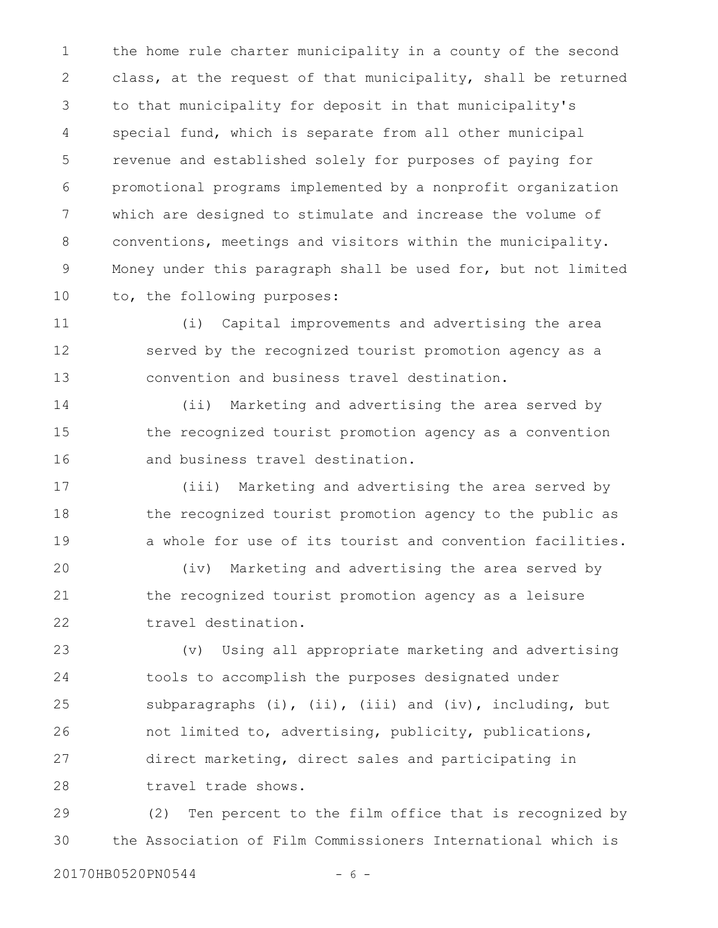the home rule charter municipality in a county of the second class, at the request of that municipality, shall be returned to that municipality for deposit in that municipality's special fund, which is separate from all other municipal revenue and established solely for purposes of paying for promotional programs implemented by a nonprofit organization which are designed to stimulate and increase the volume of conventions, meetings and visitors within the municipality. Money under this paragraph shall be used for, but not limited to, the following purposes: 1 2 3 4 5 6 7 8 9 10

(i) Capital improvements and advertising the area served by the recognized tourist promotion agency as a convention and business travel destination. 11 12 13

(ii) Marketing and advertising the area served by the recognized tourist promotion agency as a convention and business travel destination. 14 15 16

(iii) Marketing and advertising the area served by the recognized tourist promotion agency to the public as a whole for use of its tourist and convention facilities. 17 18 19

(iv) Marketing and advertising the area served by the recognized tourist promotion agency as a leisure travel destination. 20 21 22

(v) Using all appropriate marketing and advertising tools to accomplish the purposes designated under subparagraphs  $(i)$ ,  $(ii)$ ,  $(iii)$  and  $(iv)$ , including, but not limited to, advertising, publicity, publications, direct marketing, direct sales and participating in travel trade shows. 23 24 25 26 27 28

(2) Ten percent to the film office that is recognized by the Association of Film Commissioners International which is 29 30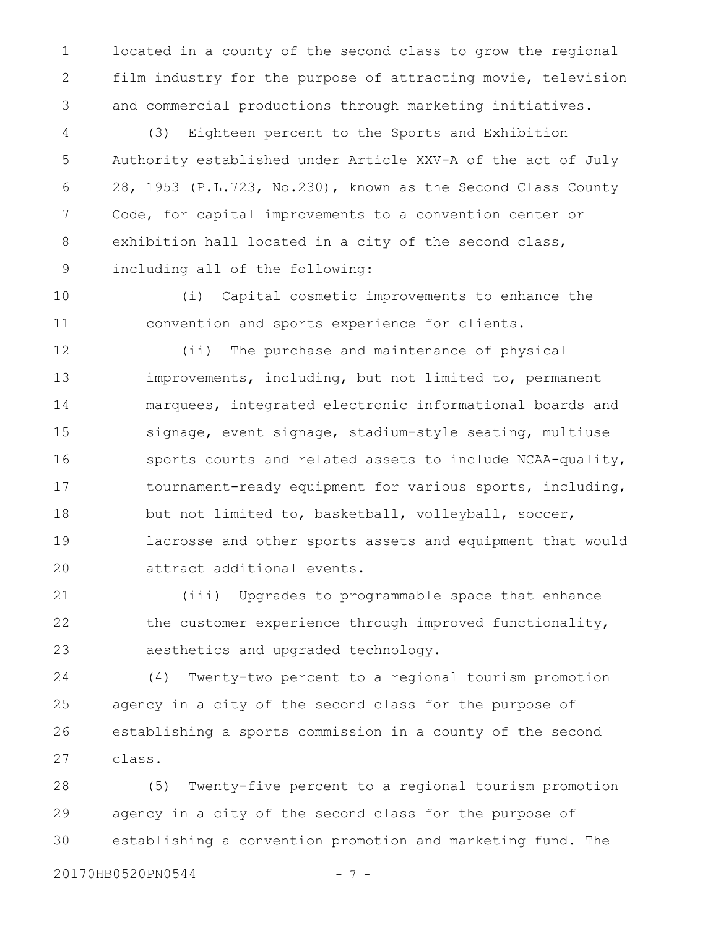located in a county of the second class to grow the regional film industry for the purpose of attracting movie, television and commercial productions through marketing initiatives. 1 2 3

(3) Eighteen percent to the Sports and Exhibition Authority established under Article XXV-A of the act of July 28, 1953 (P.L.723, No.230), known as the Second Class County Code, for capital improvements to a convention center or exhibition hall located in a city of the second class, including all of the following: 4 5 6 7 8 9

(i) Capital cosmetic improvements to enhance the convention and sports experience for clients. 10 11

(ii) The purchase and maintenance of physical improvements, including, but not limited to, permanent marquees, integrated electronic informational boards and signage, event signage, stadium-style seating, multiuse sports courts and related assets to include NCAA-quality, tournament-ready equipment for various sports, including, but not limited to, basketball, volleyball, soccer, lacrosse and other sports assets and equipment that would attract additional events. 12 13 14 15 16 17 18 19 20

(iii) Upgrades to programmable space that enhance the customer experience through improved functionality, aesthetics and upgraded technology. 21 22 23

(4) Twenty-two percent to a regional tourism promotion agency in a city of the second class for the purpose of establishing a sports commission in a county of the second class. 24 25 26 27

(5) Twenty-five percent to a regional tourism promotion agency in a city of the second class for the purpose of establishing a convention promotion and marketing fund. The 28 29 30

20170HB0520PN0544 - 7 -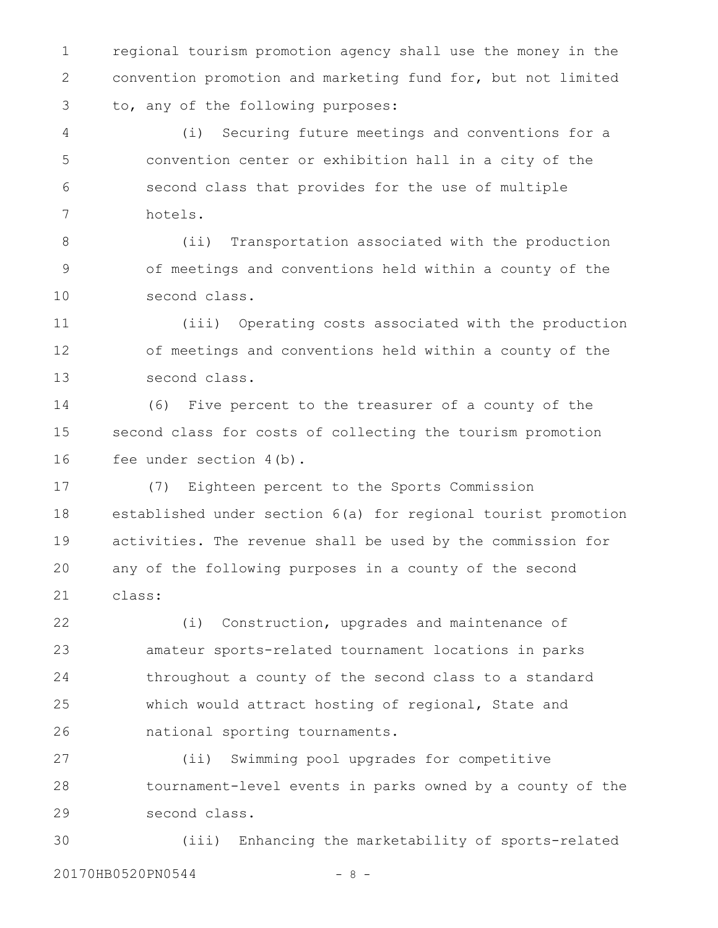regional tourism promotion agency shall use the money in the convention promotion and marketing fund for, but not limited to, any of the following purposes: 1 2 3

(i) Securing future meetings and conventions for a convention center or exhibition hall in a city of the second class that provides for the use of multiple hotels. 4 5 6 7

(ii) Transportation associated with the production of meetings and conventions held within a county of the second class. 8 9 10

(iii) Operating costs associated with the production of meetings and conventions held within a county of the second class. 11 12 13

(6) Five percent to the treasurer of a county of the second class for costs of collecting the tourism promotion fee under section 4(b). 14 15 16

(7) Eighteen percent to the Sports Commission established under section 6(a) for regional tourist promotion activities. The revenue shall be used by the commission for any of the following purposes in a county of the second class: 17 18 19 20 21

(i) Construction, upgrades and maintenance of amateur sports-related tournament locations in parks throughout a county of the second class to a standard which would attract hosting of regional, State and national sporting tournaments. 22 23 24 25 26

(ii) Swimming pool upgrades for competitive tournament-level events in parks owned by a county of the second class. 27 28 29

(iii) Enhancing the marketability of sports-related 20170HB0520PN0544 - 8 -30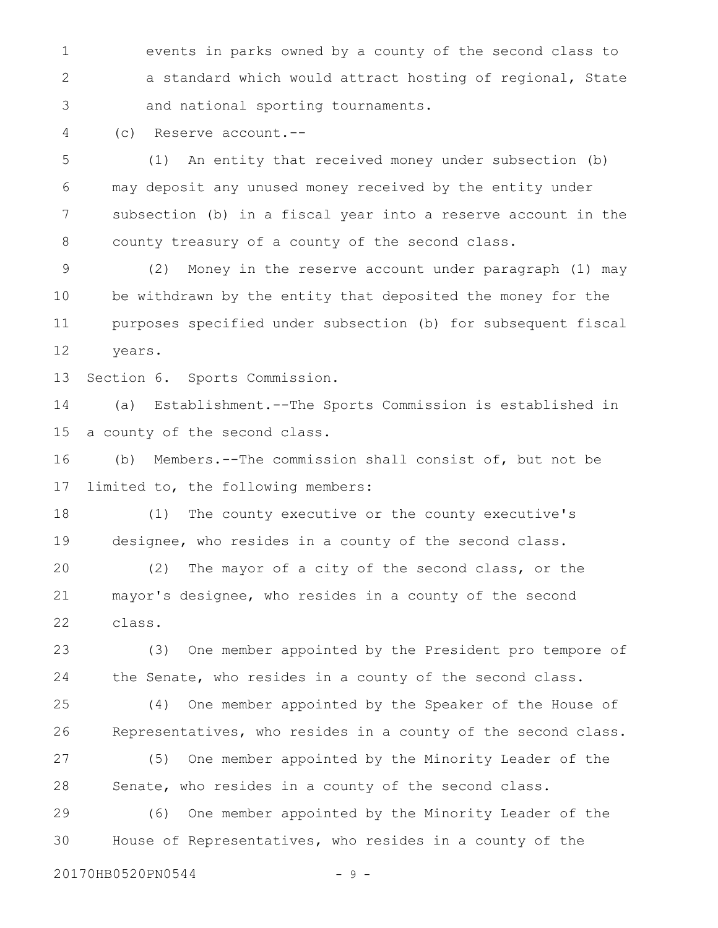events in parks owned by a county of the second class to a standard which would attract hosting of regional, State and national sporting tournaments. 1 2 3

(c) Reserve account.-- 4

(1) An entity that received money under subsection (b) may deposit any unused money received by the entity under subsection (b) in a fiscal year into a reserve account in the county treasury of a county of the second class. 5 6 7 8

(2) Money in the reserve account under paragraph (1) may be withdrawn by the entity that deposited the money for the purposes specified under subsection (b) for subsequent fiscal years. 9 10 11 12

Section 6. Sports Commission. 13

(a) Establishment.--The Sports Commission is established in a county of the second class. 14 15

(b) Members.--The commission shall consist of, but not be limited to, the following members: 16 17

(1) The county executive or the county executive's designee, who resides in a county of the second class. 18 19

(2) The mayor of a city of the second class, or the mayor's designee, who resides in a county of the second class. 20 21 22

(3) One member appointed by the President pro tempore of the Senate, who resides in a county of the second class. 23 24

(4) One member appointed by the Speaker of the House of Representatives, who resides in a county of the second class. 25 26

(5) One member appointed by the Minority Leader of the Senate, who resides in a county of the second class. 27 28

(6) One member appointed by the Minority Leader of the House of Representatives, who resides in a county of the 29 30

20170HB0520PN0544 - 9 -